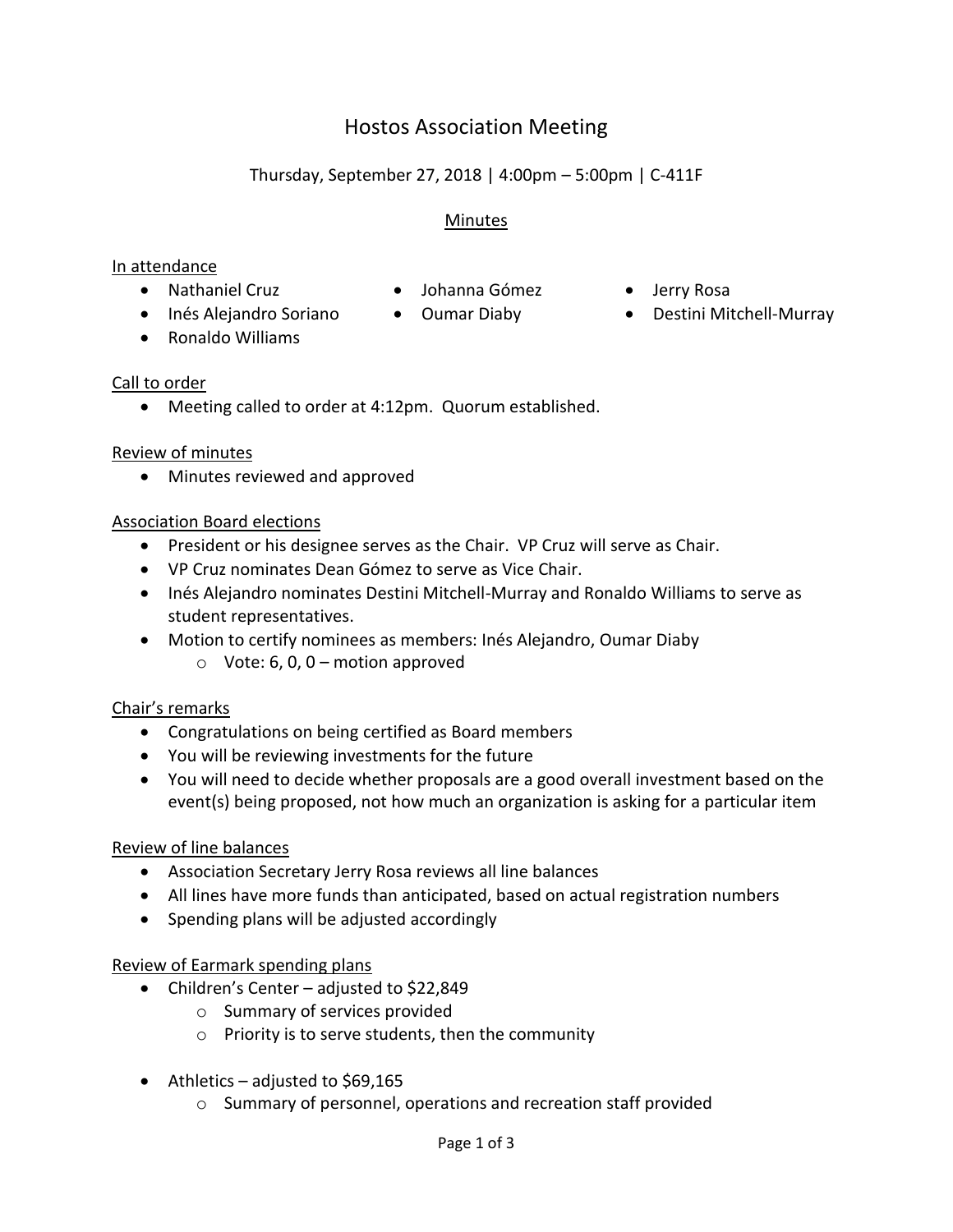# Hostos Association Meeting

## Thursday, September 27, 2018 | 4:00pm – 5:00pm | C-411F

#### Minutes

#### In attendance

- Nathaniel Cruz Johanna Gómez Jerry Rosa
- -
- 
- 
- Inés Alejandro Soriano Oumar Diaby Destini Mitchell-Murray
- Ronaldo Williams

#### Call to order

Meeting called to order at 4:12pm. Quorum established.

#### Review of minutes

• Minutes reviewed and approved

## Association Board elections

- President or his designee serves as the Chair. VP Cruz will serve as Chair.
- VP Cruz nominates Dean Gómez to serve as Vice Chair.
- Inés Alejandro nominates Destini Mitchell-Murray and Ronaldo Williams to serve as student representatives.
- Motion to certify nominees as members: Inés Alejandro, Oumar Diaby
	- $\circ$  Vote: 6, 0, 0 motion approved

## Chair's remarks

- Congratulations on being certified as Board members
- You will be reviewing investments for the future
- You will need to decide whether proposals are a good overall investment based on the event(s) being proposed, not how much an organization is asking for a particular item

## Review of line balances

- Association Secretary Jerry Rosa reviews all line balances
- All lines have more funds than anticipated, based on actual registration numbers
- Spending plans will be adjusted accordingly

## Review of Earmark spending plans

- Children's Center adjusted to \$22,849
	- o Summary of services provided
	- o Priority is to serve students, then the community
- $\bullet$  Athletics adjusted to \$69,165
	- o Summary of personnel, operations and recreation staff provided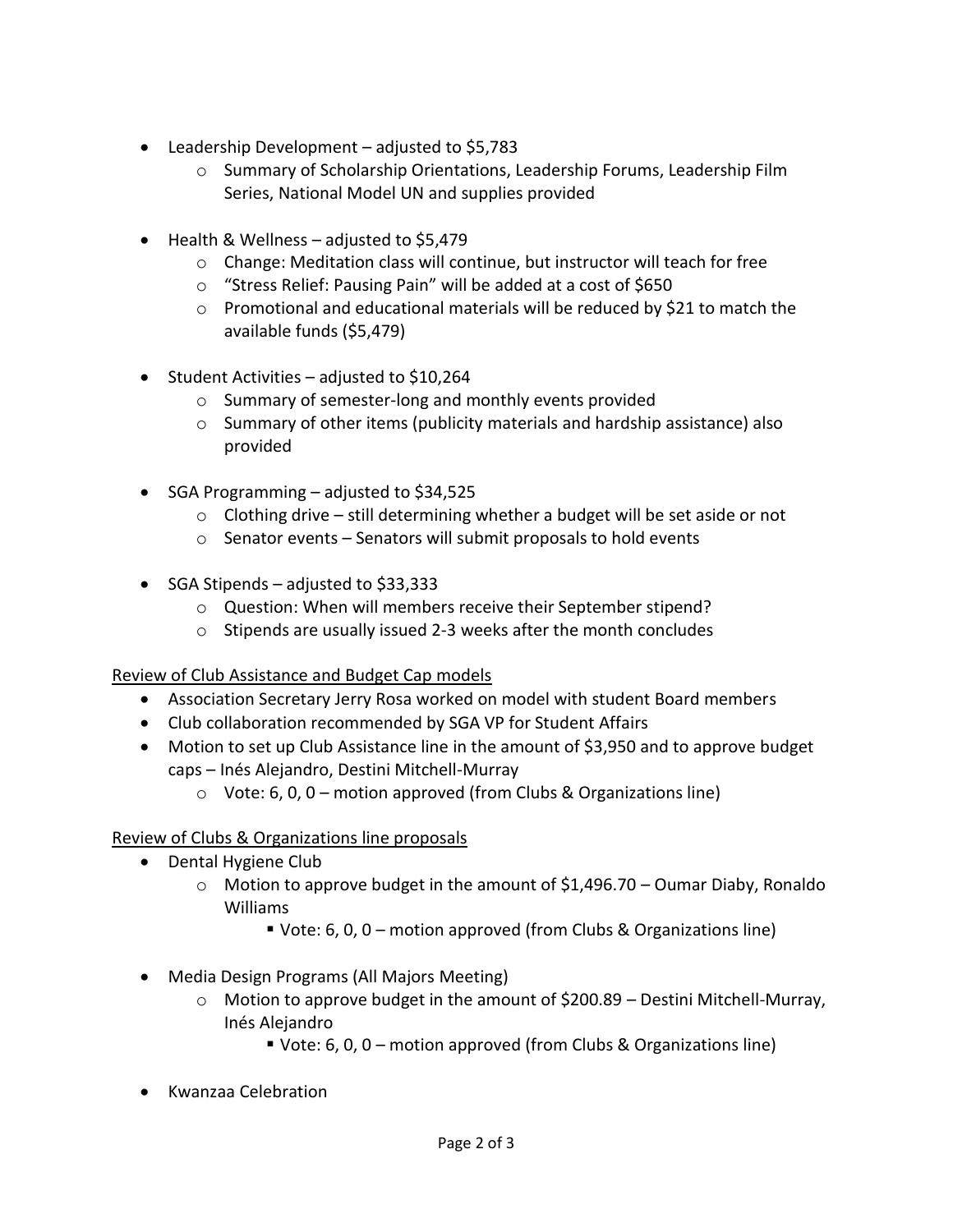- Leadership Development adjusted to \$5,783
	- o Summary of Scholarship Orientations, Leadership Forums, Leadership Film Series, National Model UN and supplies provided
- $\bullet$  Health & Wellness adjusted to \$5,479
	- o Change: Meditation class will continue, but instructor will teach for free
	- o "Stress Relief: Pausing Pain" will be added at a cost of \$650
	- $\circ$  Promotional and educational materials will be reduced by \$21 to match the available funds (\$5,479)
- $\bullet$  Student Activities adjusted to \$10,264
	- o Summary of semester-long and monthly events provided
	- $\circ$  Summary of other items (publicity materials and hardship assistance) also provided
- SGA Programming  $-$  adjusted to \$34,525
	- $\circ$  Clothing drive still determining whether a budget will be set aside or not
	- o Senator events Senators will submit proposals to hold events
- SGA Stipends adjusted to \$33,333
	- o Question: When will members receive their September stipend?
	- o Stipends are usually issued 2-3 weeks after the month concludes

#### Review of Club Assistance and Budget Cap models

- Association Secretary Jerry Rosa worked on model with student Board members
- Club collaboration recommended by SGA VP for Student Affairs
- Motion to set up Club Assistance line in the amount of \$3,950 and to approve budget caps – Inés Alejandro, Destini Mitchell-Murray
	- $\circ$  Vote: 6, 0, 0 motion approved (from Clubs & Organizations line)

## Review of Clubs & Organizations line proposals

- Dental Hygiene Club
	- $\circ$  Motion to approve budget in the amount of \$1,496.70 Oumar Diaby, Ronaldo Williams
		- Vote: 6, 0, 0 motion approved (from Clubs & Organizations line)
- Media Design Programs (All Majors Meeting)
	- o Motion to approve budget in the amount of \$200.89 Destini Mitchell-Murray, Inés Alejandro
		- Vote: 6, 0, 0 motion approved (from Clubs & Organizations line)
- Kwanzaa Celebration